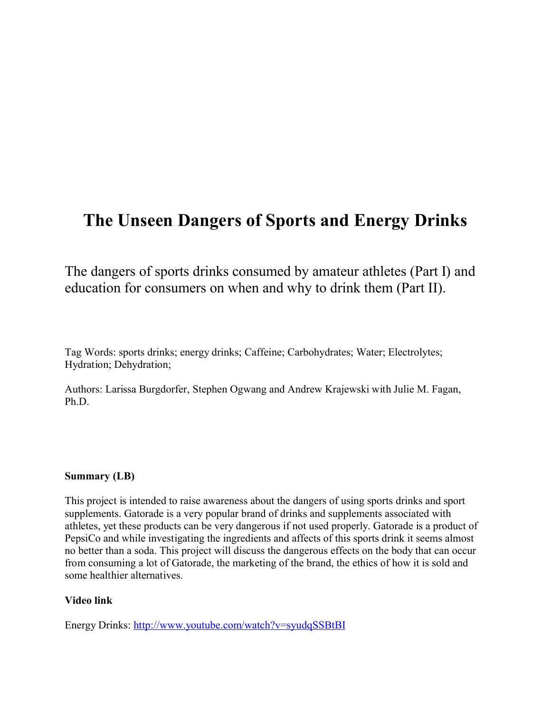# **The Unseen Dangers of Sports and Energy Drinks**

The dangers of sports drinks consumed by amateur athletes (Part I) and education for consumers on when and why to drink them (Part II).

Tag Words: sports drinks; energy drinks; Caffeine; Carbohydrates; Water; Electrolytes; Hydration; Dehydration;

Authors: Larissa Burgdorfer, Stephen Ogwang and Andrew Krajewski with Julie M. Fagan, Ph.D.

#### **Summary (LB)**

This project is intended to raise awareness about the dangers of using sports drinks and sport supplements. Gatorade is a very popular brand of drinks and supplements associated with athletes, yet these products can be very dangerous if not used properly. Gatorade is a product of PepsiCo and while investigating the ingredients and affects of this sports drink it seems almost no better than a soda. This project will discuss the dangerous effects on the body that can occur from consuming a lot of Gatorade, the marketing of the brand, the ethics of how it is sold and some healthier alternatives.

#### **Video link**

Energy Drinks:<http://www.youtube.com/watch?v=syudqSSBtBI>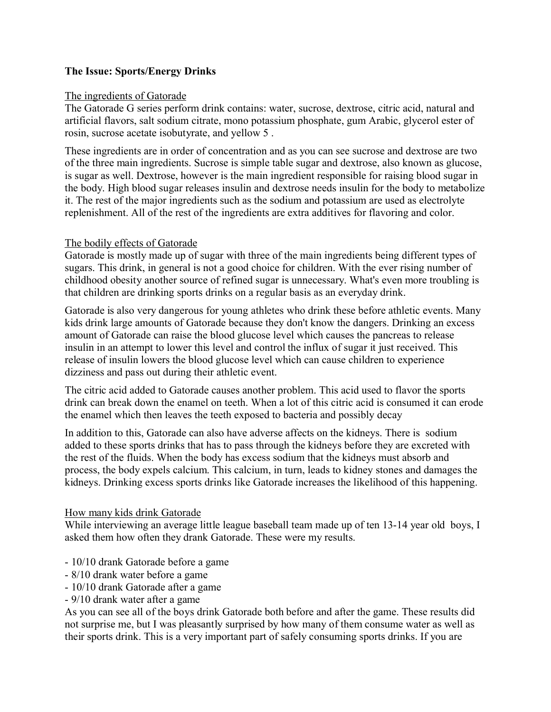## **The Issue: Sports/Energy Drinks**

#### The ingredients of Gatorade

The Gatorade G series perform drink contains: water, sucrose, dextrose, citric acid, natural and artificial flavors, salt sodium citrate, mono potassium phosphate, gum Arabic, glycerol ester of rosin, sucrose acetate isobutyrate, and yellow 5 .

These ingredients are in order of concentration and as you can see sucrose and dextrose are two of the three main ingredients. Sucrose is simple table sugar and dextrose, also known as glucose, is sugar as well. Dextrose, however is the main ingredient responsible for raising blood sugar in the body. High blood sugar releases insulin and dextrose needs insulin for the body to metabolize it. The rest of the major ingredients such as the sodium and potassium are used as electrolyte replenishment. All of the rest of the ingredients are extra additives for flavoring and color.

#### The bodily effects of Gatorade

Gatorade is mostly made up of sugar with three of the main ingredients being different types of sugars. This drink, in general is not a good choice for children. With the ever rising number of childhood obesity another source of refined sugar is unnecessary. What's even more troubling is that children are drinking sports drinks on a regular basis as an everyday drink.

Gatorade is also very dangerous for young athletes who drink these before athletic events. Many kids drink large amounts of Gatorade because they don't know the dangers. Drinking an excess amount of Gatorade can raise the blood glucose level which causes the pancreas to release insulin in an attempt to lower this level and control the influx of sugar it just received. This release of insulin lowers the blood glucose level which can cause children to experience dizziness and pass out during their athletic event.

The citric acid added to Gatorade causes another problem. This acid used to flavor the sports drink can break down the enamel on teeth. When a lot of this citric acid is consumed it can erode the enamel which then leaves the teeth exposed to bacteria and possibly decay

In addition to this, Gatorade can also have adverse affects on the kidneys. There is sodium added to these sports drinks that has to pass through the kidneys before they are excreted with the rest of the fluids. When the body has excess sodium that the kidneys must absorb and process, the body expels calcium. This calcium, in turn, leads to kidney stones and damages the kidneys. Drinking excess sports drinks like Gatorade increases the likelihood of this happening.

#### How many kids drink Gatorade

While interviewing an average little league baseball team made up of ten 13-14 year old boys, I asked them how often they drank Gatorade. These were my results.

- 10/10 drank Gatorade before a game
- 8/10 drank water before a game
- 10/10 drank Gatorade after a game
- 9/10 drank water after a game

As you can see all of the boys drink Gatorade both before and after the game. These results did not surprise me, but I was pleasantly surprised by how many of them consume water as well as their sports drink. This is a very important part of safely consuming sports drinks. If you are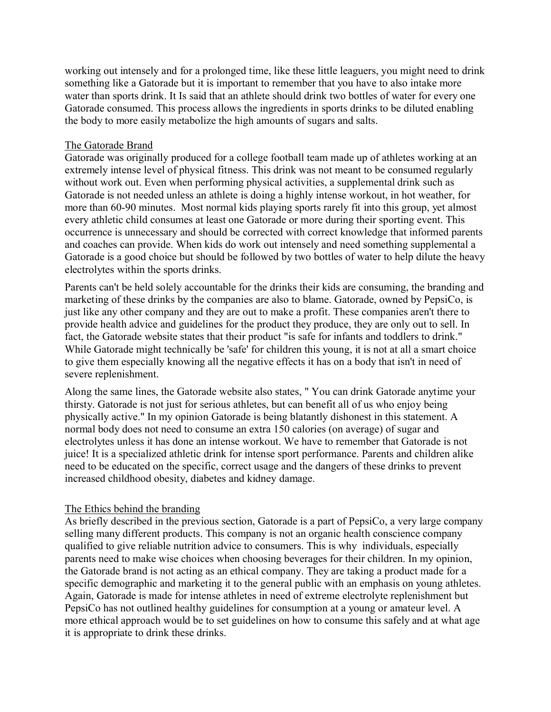working out intensely and for a prolonged time, like these little leaguers, you might need to drink something like a Gatorade but it is important to remember that you have to also intake more water than sports drink. It Is said that an athlete should drink two bottles of water for every one Gatorade consumed. This process allows the ingredients in sports drinks to be diluted enabling the body to more easily metabolize the high amounts of sugars and salts.

#### The Gatorade Brand

Gatorade was originally produced for a college football team made up of athletes working at an extremely intense level of physical fitness. This drink was not meant to be consumed regularly without work out. Even when performing physical activities, a supplemental drink such as Gatorade is not needed unless an athlete is doing a highly intense workout, in hot weather, for more than 60-90 minutes. Most normal kids playing sports rarely fit into this group, yet almost every athletic child consumes at least one Gatorade or more during their sporting event. This occurrence is unnecessary and should be corrected with correct knowledge that informed parents and coaches can provide. When kids do work out intensely and need something supplemental a Gatorade is a good choice but should be followed by two bottles of water to help dilute the heavy electrolytes within the sports drinks.

Parents can't be held solely accountable for the drinks their kids are consuming, the branding and marketing of these drinks by the companies are also to blame. Gatorade, owned by PepsiCo, is just like any other company and they are out to make a profit. These companies aren't there to provide health advice and guidelines for the product they produce, they are only out to sell. In fact, the Gatorade website states that their product "is safe for infants and toddlers to drink." While Gatorade might technically be 'safe' for children this young, it is not at all a smart choice to give them especially knowing all the negative effects it has on a body that isn't in need of severe replenishment.

Along the same lines, the Gatorade website also states, " You can drink Gatorade anytime your thirsty. Gatorade is not just for serious athletes, but can benefit all of us who enjoy being physically active." In my opinion Gatorade is being blatantly dishonest in this statement. A normal body does not need to consume an extra 150 calories (on average) of sugar and electrolytes unless it has done an intense workout. We have to remember that Gatorade is not juice! It is a specialized athletic drink for intense sport performance. Parents and children alike need to be educated on the specific, correct usage and the dangers of these drinks to prevent increased childhood obesity, diabetes and kidney damage.

#### The Ethics behind the branding

As briefly described in the previous section, Gatorade is a part of PepsiCo, a very large company selling many different products. This company is not an organic health conscience company qualified to give reliable nutrition advice to consumers. This is why individuals, especially parents need to make wise choices when choosing beverages for their children. In my opinion, the Gatorade brand is not acting as an ethical company. They are taking a product made for a specific demographic and marketing it to the general public with an emphasis on young athletes. Again, Gatorade is made for intense athletes in need of extreme electrolyte replenishment but PepsiCo has not outlined healthy guidelines for consumption at a young or amateur level. A more ethical approach would be to set guidelines on how to consume this safely and at what age it is appropriate to drink these drinks.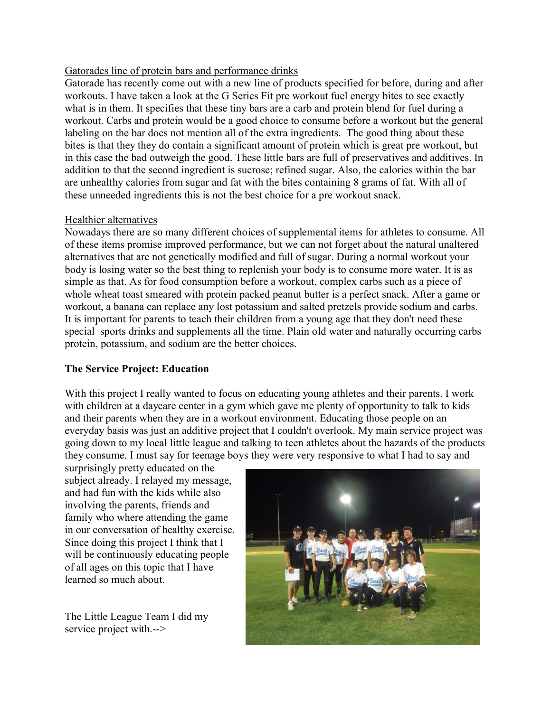#### Gatorades line of protein bars and performance drinks

Gatorade has recently come out with a new line of products specified for before, during and after workouts. I have taken a look at the G Series Fit pre workout fuel energy bites to see exactly what is in them. It specifies that these tiny bars are a carb and protein blend for fuel during a workout. Carbs and protein would be a good choice to consume before a workout but the general labeling on the bar does not mention all of the extra ingredients. The good thing about these bites is that they they do contain a significant amount of protein which is great pre workout, but in this case the bad outweigh the good. These little bars are full of preservatives and additives. In addition to that the second ingredient is sucrose; refined sugar. Also, the calories within the bar are unhealthy calories from sugar and fat with the bites containing 8 grams of fat. With all of these unneeded ingredients this is not the best choice for a pre workout snack.

#### Healthier alternatives

Nowadays there are so many different choices of supplemental items for athletes to consume. All of these items promise improved performance, but we can not forget about the natural unaltered alternatives that are not genetically modified and full of sugar. During a normal workout your body is losing water so the best thing to replenish your body is to consume more water. It is as simple as that. As for food consumption before a workout, complex carbs such as a piece of whole wheat toast smeared with protein packed peanut butter is a perfect snack. After a game or workout, a banana can replace any lost potassium and salted pretzels provide sodium and carbs. It is important for parents to teach their children from a young age that they don't need these special sports drinks and supplements all the time. Plain old water and naturally occurring carbs protein, potassium, and sodium are the better choices.

## **The Service Project: Education**

With this project I really wanted to focus on educating young athletes and their parents. I work with children at a daycare center in a gym which gave me plenty of opportunity to talk to kids and their parents when they are in a workout environment. Educating those people on an everyday basis was just an additive project that I couldn't overlook. My main service project was going down to my local little league and talking to teen athletes about the hazards of the products they consume. I must say for teenage boys they were very responsive to what I had to say and

surprisingly pretty educated on the subject already. I relayed my message, and had fun with the kids while also involving the parents, friends and family who where attending the game in our conversation of healthy exercise. Since doing this project I think that I will be continuously educating people of all ages on this topic that I have learned so much about.

The Little League Team I did my service project with.-->

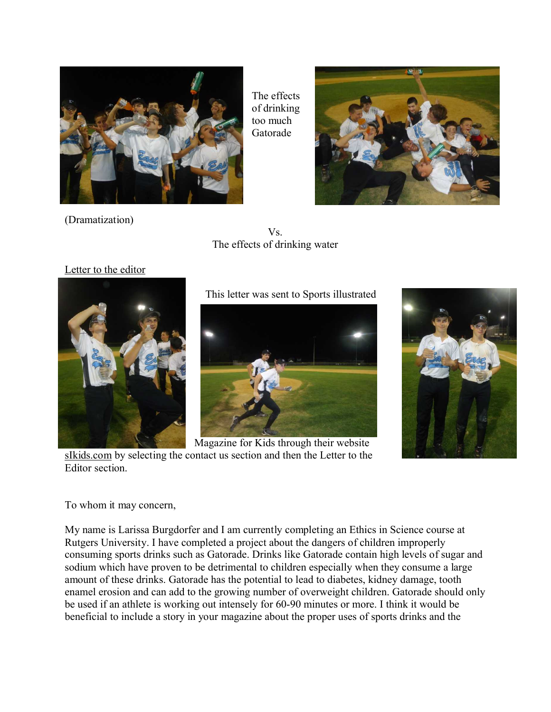

The effects of drinking too much Gatorade



(Dramatization)

Vs. The effects of drinking water

## Letter to the editor



This letter was sent to Sports illustrated



Magazine for Kids through their website [sIkids.com](http://sikids.com/) by selecting the contact us section and then the Letter to the Editor section.



#### To whom it may concern,

My name is Larissa Burgdorfer and I am currently completing an Ethics in Science course at Rutgers University. I have completed a project about the dangers of children improperly consuming sports drinks such as Gatorade. Drinks like Gatorade contain high levels of sugar and sodium which have proven to be detrimental to children especially when they consume a large amount of these drinks. Gatorade has the potential to lead to diabetes, kidney damage, tooth enamel erosion and can add to the growing number of overweight children. Gatorade should only be used if an athlete is working out intensely for 60-90 minutes or more. I think it would be beneficial to include a story in your magazine about the proper uses of sports drinks and the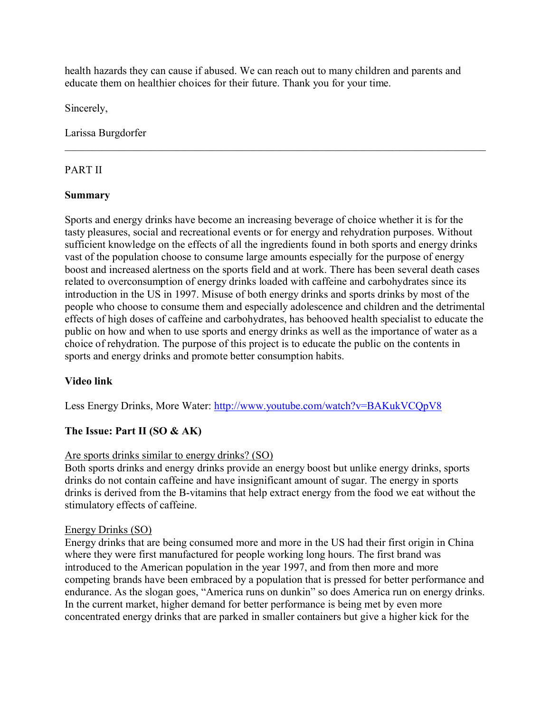health hazards they can cause if abused. We can reach out to many children and parents and educate them on healthier choices for their future. Thank you for your time.

 $\mathcal{L}_\mathcal{L} = \{ \mathcal{L}_\mathcal{L} = \{ \mathcal{L}_\mathcal{L} = \{ \mathcal{L}_\mathcal{L} = \{ \mathcal{L}_\mathcal{L} = \{ \mathcal{L}_\mathcal{L} = \{ \mathcal{L}_\mathcal{L} = \{ \mathcal{L}_\mathcal{L} = \{ \mathcal{L}_\mathcal{L} = \{ \mathcal{L}_\mathcal{L} = \{ \mathcal{L}_\mathcal{L} = \{ \mathcal{L}_\mathcal{L} = \{ \mathcal{L}_\mathcal{L} = \{ \mathcal{L}_\mathcal{L} = \{ \mathcal{L}_\mathcal{$ 

Sincerely,

Larissa Burgdorfer

# PART II

## **Summary**

Sports and energy drinks have become an increasing beverage of choice whether it is for the tasty pleasures, social and recreational events or for energy and rehydration purposes. Without sufficient knowledge on the effects of all the ingredients found in both sports and energy drinks vast of the population choose to consume large amounts especially for the purpose of energy boost and increased alertness on the sports field and at work. There has been several death cases related to overconsumption of energy drinks loaded with caffeine and carbohydrates since its introduction in the US in 1997. Misuse of both energy drinks and sports drinks by most of the people who choose to consume them and especially adolescence and children and the detrimental effects of high doses of caffeine and carbohydrates, has behooved health specialist to educate the public on how and when to use sports and energy drinks as well as the importance of water as a choice of rehydration. The purpose of this project is to educate the public on the contents in sports and energy drinks and promote better consumption habits.

# **Video link**

Less Energy Drinks, More Water:<http://www.youtube.com/watch?v=BAKukVCQpV8>

# **The Issue: Part II (SO & AK)**

## Are sports drinks similar to energy drinks? (SO)

Both sports drinks and energy drinks provide an energy boost but unlike energy drinks, sports drinks do not contain caffeine and have insignificant amount of sugar. The energy in sports drinks is derived from the B-vitamins that help extract energy from the food we eat without the stimulatory effects of caffeine.

## Energy Drinks (SO)

Energy drinks that are being consumed more and more in the US had their first origin in China where they were first manufactured for people working long hours. The first brand was introduced to the American population in the year 1997, and from then more and more competing brands have been embraced by a population that is pressed for better performance and endurance. As the slogan goes, "America runs on dunkin" so does America run on energy drinks. In the current market, higher demand for better performance is being met by even more concentrated energy drinks that are parked in smaller containers but give a higher kick for the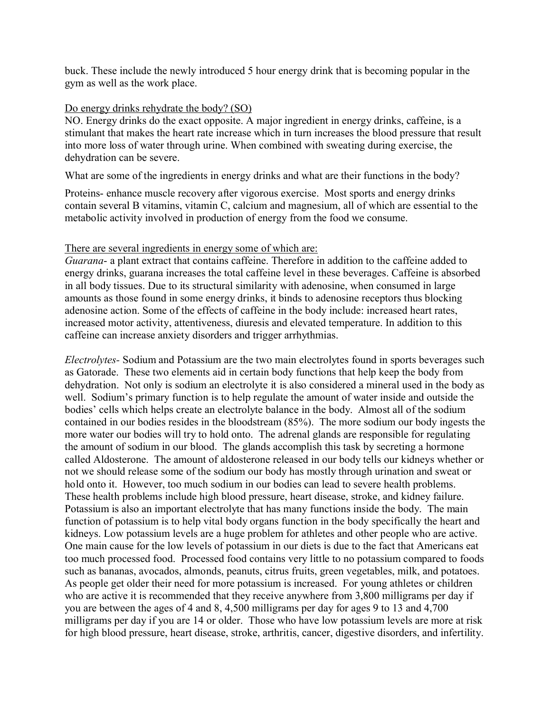buck. These include the newly introduced 5 hour energy drink that is becoming popular in the gym as well as the work place.

#### Do energy drinks rehydrate the body? (SO)

NO. Energy drinks do the exact opposite. A major ingredient in energy drinks, caffeine, is a stimulant that makes the heart rate increase which in turn increases the blood pressure that result into more loss of water through urine. When combined with sweating during exercise, the dehydration can be severe.

What are some of the ingredients in energy drinks and what are their functions in the body?

Proteins- enhance muscle recovery after vigorous exercise. Most sports and energy drinks contain several B vitamins, vitamin C, calcium and magnesium, all of which are essential to the metabolic activity involved in production of energy from the food we consume.

#### There are several ingredients in energy some of which are:

*Guarana*- a plant extract that contains caffeine. Therefore in addition to the caffeine added to energy drinks, guarana increases the total caffeine level in these beverages. Caffeine is absorbed in all body tissues. Due to its structural similarity with adenosine, when consumed in large amounts as those found in some energy drinks, it binds to adenosine receptors thus blocking adenosine action. Some of the effects of caffeine in the body include: increased heart rates, increased motor activity, attentiveness, diuresis and elevated temperature. In addition to this caffeine can increase anxiety disorders and trigger arrhythmias.

*Electrolytes-* Sodium and Potassium are the two main electrolytes found in sports beverages such as Gatorade. These two elements aid in certain body functions that help keep the body from dehydration. Not only is sodium an electrolyte it is also considered a mineral used in the body as well. Sodium's primary function is to help regulate the amount of water inside and outside the bodies' cells which helps create an electrolyte balance in the body. Almost all of the sodium contained in our bodies resides in the bloodstream (85%). The more sodium our body ingests the more water our bodies will try to hold onto. The adrenal glands are responsible for regulating the amount of sodium in our blood. The glands accomplish this task by secreting a hormone called Aldosterone. The amount of aldosterone released in our body tells our kidneys whether or not we should release some of the sodium our body has mostly through urination and sweat or hold onto it. However, too much sodium in our bodies can lead to severe health problems. These health problems include high blood pressure, heart disease, stroke, and kidney failure. Potassium is also an important electrolyte that has many functions inside the body. The main function of potassium is to help vital body organs function in the body specifically the heart and kidneys. Low potassium levels are a huge problem for athletes and other people who are active. One main cause for the low levels of potassium in our diets is due to the fact that Americans eat too much processed food. Processed food contains very little to no potassium compared to foods such as bananas, avocados, almonds, peanuts, citrus fruits, green vegetables, milk, and potatoes. As people get older their need for more potassium is increased. For young athletes or children who are active it is recommended that they receive anywhere from 3,800 milligrams per day if you are between the ages of 4 and 8, 4,500 milligrams per day for ages 9 to 13 and 4,700 milligrams per day if you are 14 or older. Those who have low potassium levels are more at risk for high blood pressure, heart disease, stroke, arthritis, cancer, digestive disorders, and infertility.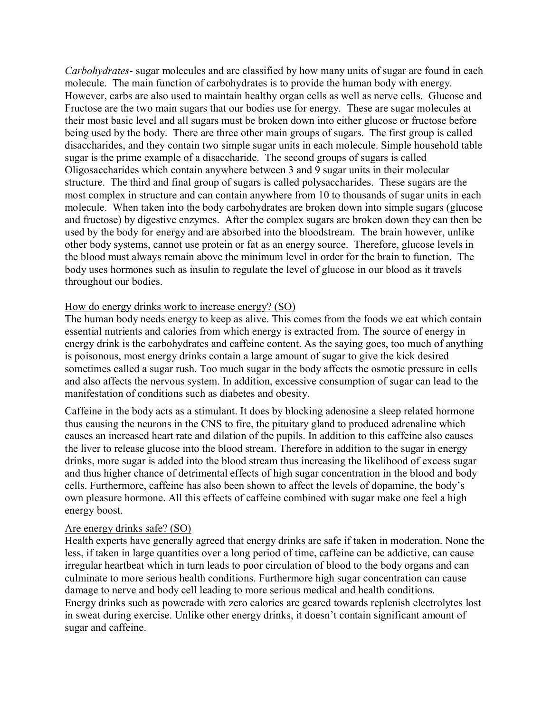*Carbohydrates*- sugar molecules and are classified by how many units of sugar are found in each molecule. The main function of carbohydrates is to provide the human body with energy. However, carbs are also used to maintain healthy organ cells as well as nerve cells. Glucose and Fructose are the two main sugars that our bodies use for energy. These are sugar molecules at their most basic level and all sugars must be broken down into either glucose or fructose before being used by the body. There are three other main groups of sugars. The first group is called disaccharides, and they contain two simple sugar units in each molecule. Simple household table sugar is the prime example of a disaccharide. The second groups of sugars is called Oligosaccharides which contain anywhere between 3 and 9 sugar units in their molecular structure. The third and final group of sugars is called polysaccharides. These sugars are the most complex in structure and can contain anywhere from 10 to thousands of sugar units in each molecule. When taken into the body carbohydrates are broken down into simple sugars (glucose and fructose) by digestive enzymes. After the complex sugars are broken down they can then be used by the body for energy and are absorbed into the bloodstream. The brain however, unlike other body systems, cannot use protein or fat as an energy source. Therefore, glucose levels in the blood must always remain above the minimum level in order for the brain to function. The body uses hormones such as insulin to regulate the level of glucose in our blood as it travels throughout our bodies.

#### How do energy drinks work to increase energy? (SO)

The human body needs energy to keep as alive. This comes from the foods we eat which contain essential nutrients and calories from which energy is extracted from. The source of energy in energy drink is the carbohydrates and caffeine content. As the saying goes, too much of anything is poisonous, most energy drinks contain a large amount of sugar to give the kick desired sometimes called a sugar rush. Too much sugar in the body affects the osmotic pressure in cells and also affects the nervous system. In addition, excessive consumption of sugar can lead to the manifestation of conditions such as diabetes and obesity.

Caffeine in the body acts as a stimulant. It does by blocking adenosine a sleep related hormone thus causing the neurons in the CNS to fire, the pituitary gland to produced adrenaline which causes an increased heart rate and dilation of the pupils. In addition to this caffeine also causes the liver to release glucose into the blood stream. Therefore in addition to the sugar in energy drinks, more sugar is added into the blood stream thus increasing the likelihood of excess sugar and thus higher chance of detrimental effects of high sugar concentration in the blood and body cells. Furthermore, caffeine has also been shown to affect the levels of dopamine, the body's own pleasure hormone. All this effects of caffeine combined with sugar make one feel a high energy boost.

#### Are energy drinks safe? (SO)

Health experts have generally agreed that energy drinks are safe if taken in moderation. None the less, if taken in large quantities over a long period of time, caffeine can be addictive, can cause irregular heartbeat which in turn leads to poor circulation of blood to the body organs and can culminate to more serious health conditions. Furthermore high sugar concentration can cause damage to nerve and body cell leading to more serious medical and health conditions. Energy drinks such as powerade with zero calories are geared towards replenish electrolytes lost in sweat during exercise. Unlike other energy drinks, it doesn't contain significant amount of sugar and caffeine.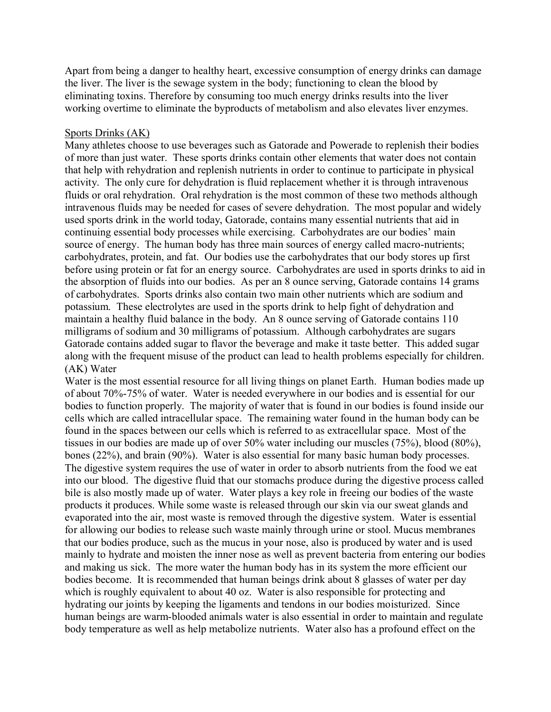Apart from being a danger to healthy heart, excessive consumption of energy drinks can damage the liver. The liver is the sewage system in the body; functioning to clean the blood by eliminating toxins. Therefore by consuming too much energy drinks results into the liver working overtime to eliminate the byproducts of metabolism and also elevates liver enzymes.

#### Sports Drinks (AK)

Many athletes choose to use beverages such as Gatorade and Powerade to replenish their bodies of more than just water. These sports drinks contain other elements that water does not contain that help with rehydration and replenish nutrients in order to continue to participate in physical activity. The only cure for dehydration is fluid replacement whether it is through intravenous fluids or oral rehydration. Oral rehydration is the most common of these two methods although intravenous fluids may be needed for cases of severe dehydration. The most popular and widely used sports drink in the world today, Gatorade, contains many essential nutrients that aid in continuing essential body processes while exercising. Carbohydrates are our bodies' main source of energy. The human body has three main sources of energy called macro-nutrients; carbohydrates, protein, and fat. Our bodies use the carbohydrates that our body stores up first before using protein or fat for an energy source. Carbohydrates are used in sports drinks to aid in the absorption of fluids into our bodies. As per an 8 ounce serving, Gatorade contains 14 grams of carbohydrates. Sports drinks also contain two main other nutrients which are sodium and potassium. These electrolytes are used in the sports drink to help fight of dehydration and maintain a healthy fluid balance in the body. An 8 ounce serving of Gatorade contains 110 milligrams of sodium and 30 milligrams of potassium. Although carbohydrates are sugars Gatorade contains added sugar to flavor the beverage and make it taste better. This added sugar along with the frequent misuse of the product can lead to health problems especially for children. (AK) Water

Water is the most essential resource for all living things on planet Earth. Human bodies made up of about 70%-75% of water. Water is needed everywhere in our bodies and is essential for our bodies to function properly. The majority of water that is found in our bodies is found inside our cells which are called intracellular space. The remaining water found in the human body can be found in the spaces between our cells which is referred to as extracellular space. Most of the tissues in our bodies are made up of over 50% water including our muscles (75%), blood (80%), bones (22%), and brain (90%). Water is also essential for many basic human body processes. The digestive system requires the use of water in order to absorb nutrients from the food we eat into our blood. The digestive fluid that our stomachs produce during the digestive process called bile is also mostly made up of water. Water plays a key role in freeing our bodies of the waste products it produces. While some waste is released through our skin via our sweat glands and evaporated into the air, most waste is removed through the digestive system. Water is essential for allowing our bodies to release such waste mainly through urine or stool. Mucus membranes that our bodies produce, such as the mucus in your nose, also is produced by water and is used mainly to hydrate and moisten the inner nose as well as prevent bacteria from entering our bodies and making us sick. The more water the human body has in its system the more efficient our bodies become. It is recommended that human beings drink about 8 glasses of water per day which is roughly equivalent to about 40 oz. Water is also responsible for protecting and hydrating our joints by keeping the ligaments and tendons in our bodies moisturized. Since human beings are warm-blooded animals water is also essential in order to maintain and regulate body temperature as well as help metabolize nutrients. Water also has a profound effect on the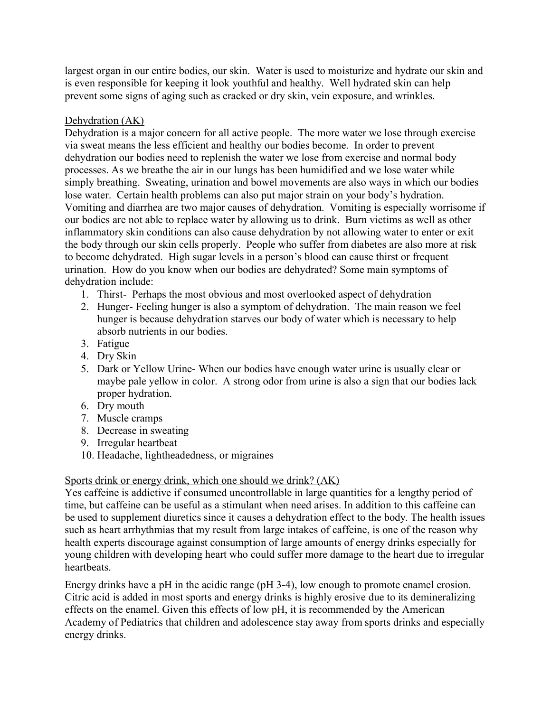largest organ in our entire bodies, our skin. Water is used to moisturize and hydrate our skin and is even responsible for keeping it look youthful and healthy. Well hydrated skin can help prevent some signs of aging such as cracked or dry skin, vein exposure, and wrinkles.

## Dehydration (AK)

Dehydration is a major concern for all active people. The more water we lose through exercise via sweat means the less efficient and healthy our bodies become. In order to prevent dehydration our bodies need to replenish the water we lose from exercise and normal body processes. As we breathe the air in our lungs has been humidified and we lose water while simply breathing. Sweating, urination and bowel movements are also ways in which our bodies lose water. Certain health problems can also put major strain on your body's hydration. Vomiting and diarrhea are two major causes of dehydration. Vomiting is especially worrisome if our bodies are not able to replace water by allowing us to drink. Burn victims as well as other inflammatory skin conditions can also cause dehydration by not allowing water to enter or exit the body through our skin cells properly. People who suffer from diabetes are also more at risk to become dehydrated. High sugar levels in a person's blood can cause thirst or frequent urination. How do you know when our bodies are dehydrated? Some main symptoms of dehydration include:

- 1. Thirst- Perhaps the most obvious and most overlooked aspect of dehydration
- 2. Hunger- Feeling hunger is also a symptom of dehydration. The main reason we feel hunger is because dehydration starves our body of water which is necessary to help absorb nutrients in our bodies.
- 3. Fatigue
- 4. Dry Skin
- 5. Dark or Yellow Urine- When our bodies have enough water urine is usually clear or maybe pale yellow in color. A strong odor from urine is also a sign that our bodies lack proper hydration.
- 6. Dry mouth
- 7. Muscle cramps
- 8. Decrease in sweating
- 9. Irregular heartbeat
- 10. Headache, lightheadedness, or migraines

## Sports drink or energy drink, which one should we drink? (AK)

Yes caffeine is addictive if consumed uncontrollable in large quantities for a lengthy period of time, but caffeine can be useful as a stimulant when need arises. In addition to this caffeine can be used to supplement diuretics since it causes a dehydration effect to the body. The health issues such as heart arrhythmias that my result from large intakes of caffeine, is one of the reason why health experts discourage against consumption of large amounts of energy drinks especially for young children with developing heart who could suffer more damage to the heart due to irregular heartbeats.

Energy drinks have a pH in the acidic range (pH 3-4), low enough to promote enamel erosion. Citric acid is added in most sports and energy drinks is highly erosive due to its demineralizing effects on the enamel. Given this effects of low pH, it is recommended by the American Academy of Pediatrics that children and adolescence stay away from sports drinks and especially energy drinks.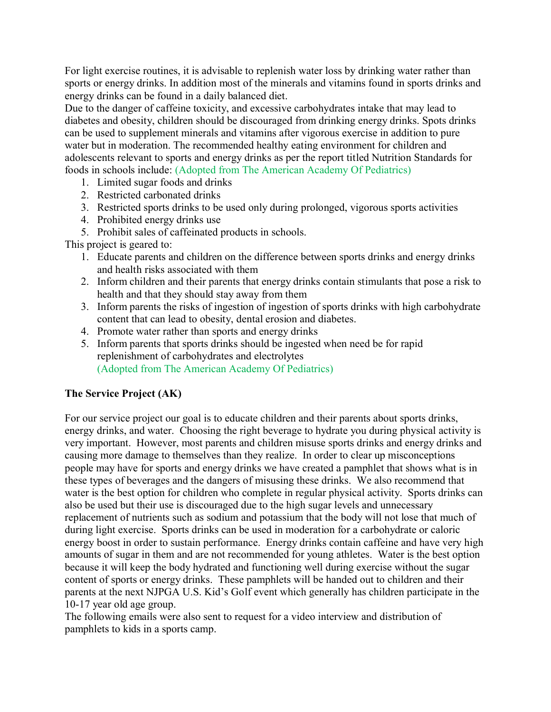For light exercise routines, it is advisable to replenish water loss by drinking water rather than sports or energy drinks. In addition most of the minerals and vitamins found in sports drinks and energy drinks can be found in a daily balanced diet.

Due to the danger of caffeine toxicity, and excessive carbohydrates intake that may lead to diabetes and obesity, children should be discouraged from drinking energy drinks. Spots drinks can be used to supplement minerals and vitamins after vigorous exercise in addition to pure water but in moderation. The recommended healthy eating environment for children and adolescents relevant to sports and energy drinks as per the report titled Nutrition Standards for foods in schools include: (Adopted from The American Academy Of Pediatrics)

- 1. Limited sugar foods and drinks
- 2. Restricted carbonated drinks
- 3. Restricted sports drinks to be used only during prolonged, vigorous sports activities
- 4. Prohibited energy drinks use
- 5. Prohibit sales of caffeinated products in schools.

This project is geared to:

- 1. Educate parents and children on the difference between sports drinks and energy drinks and health risks associated with them
- 2. Inform children and their parents that energy drinks contain stimulants that pose a risk to health and that they should stay away from them
- 3. Inform parents the risks of ingestion of ingestion of sports drinks with high carbohydrate content that can lead to obesity, dental erosion and diabetes.
- 4. Promote water rather than sports and energy drinks
- 5. Inform parents that sports drinks should be ingested when need be for rapid replenishment of carbohydrates and electrolytes (Adopted from The American Academy Of Pediatrics)

# **The Service Project (AK)**

For our service project our goal is to educate children and their parents about sports drinks, energy drinks, and water. Choosing the right beverage to hydrate you during physical activity is very important. However, most parents and children misuse sports drinks and energy drinks and causing more damage to themselves than they realize. In order to clear up misconceptions people may have for sports and energy drinks we have created a pamphlet that shows what is in these types of beverages and the dangers of misusing these drinks. We also recommend that water is the best option for children who complete in regular physical activity. Sports drinks can also be used but their use is discouraged due to the high sugar levels and unnecessary replacement of nutrients such as sodium and potassium that the body will not lose that much of during light exercise. Sports drinks can be used in moderation for a carbohydrate or caloric energy boost in order to sustain performance. Energy drinks contain caffeine and have very high amounts of sugar in them and are not recommended for young athletes. Water is the best option because it will keep the body hydrated and functioning well during exercise without the sugar content of sports or energy drinks. These pamphlets will be handed out to children and their parents at the next NJPGA U.S. Kid's Golf event which generally has children participate in the 10-17 year old age group.

The following emails were also sent to request for a video interview and distribution of pamphlets to kids in a sports camp.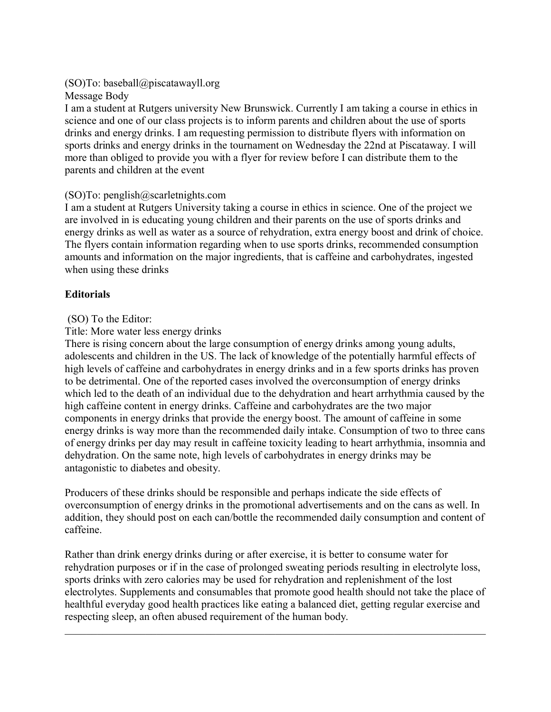## (SO)To: baseball@piscatawayll.org

Message Body

I am a student at Rutgers university New Brunswick. Currently I am taking a course in ethics in science and one of our class projects is to inform parents and children about the use of sports drinks and energy drinks. I am requesting permission to distribute flyers with information on sports drinks and energy drinks in the tournament on Wednesday the 22nd at Piscataway. I will more than obliged to provide you with a flyer for review before I can distribute them to the parents and children at the event

## (SO)To: penglish@scarletnights.com

I am a student at Rutgers University taking a course in ethics in science. One of the project we are involved in is educating young children and their parents on the use of sports drinks and energy drinks as well as water as a source of rehydration, extra energy boost and drink of choice. The flyers contain information regarding when to use sports drinks, recommended consumption amounts and information on the major ingredients, that is caffeine and carbohydrates, ingested when using these drinks

## **Editorials**

## (SO) To the Editor:

## Title: More water less energy drinks

There is rising concern about the large consumption of energy drinks among young adults, adolescents and children in the US. The lack of knowledge of the potentially harmful effects of high levels of caffeine and carbohydrates in energy drinks and in a few sports drinks has proven to be detrimental. One of the reported cases involved the overconsumption of energy drinks which led to the death of an individual due to the dehydration and heart arrhythmia caused by the high caffeine content in energy drinks. Caffeine and carbohydrates are the two major components in energy drinks that provide the energy boost. The amount of caffeine in some energy drinks is way more than the recommended daily intake. Consumption of two to three cans of energy drinks per day may result in caffeine toxicity leading to heart arrhythmia, insomnia and dehydration. On the same note, high levels of carbohydrates in energy drinks may be antagonistic to diabetes and obesity.

Producers of these drinks should be responsible and perhaps indicate the side effects of overconsumption of energy drinks in the promotional advertisements and on the cans as well. In addition, they should post on each can/bottle the recommended daily consumption and content of caffeine.

Rather than drink energy drinks during or after exercise, it is better to consume water for rehydration purposes or if in the case of prolonged sweating periods resulting in electrolyte loss, sports drinks with zero calories may be used for rehydration and replenishment of the lost electrolytes. Supplements and consumables that promote good health should not take the place of healthful everyday good health practices like eating a balanced diet, getting regular exercise and respecting sleep, an often abused requirement of the human body.

 $\mathcal{L}_\mathcal{L} = \{ \mathcal{L}_\mathcal{L} = \{ \mathcal{L}_\mathcal{L} = \{ \mathcal{L}_\mathcal{L} = \{ \mathcal{L}_\mathcal{L} = \{ \mathcal{L}_\mathcal{L} = \{ \mathcal{L}_\mathcal{L} = \{ \mathcal{L}_\mathcal{L} = \{ \mathcal{L}_\mathcal{L} = \{ \mathcal{L}_\mathcal{L} = \{ \mathcal{L}_\mathcal{L} = \{ \mathcal{L}_\mathcal{L} = \{ \mathcal{L}_\mathcal{L} = \{ \mathcal{L}_\mathcal{L} = \{ \mathcal{L}_\mathcal{$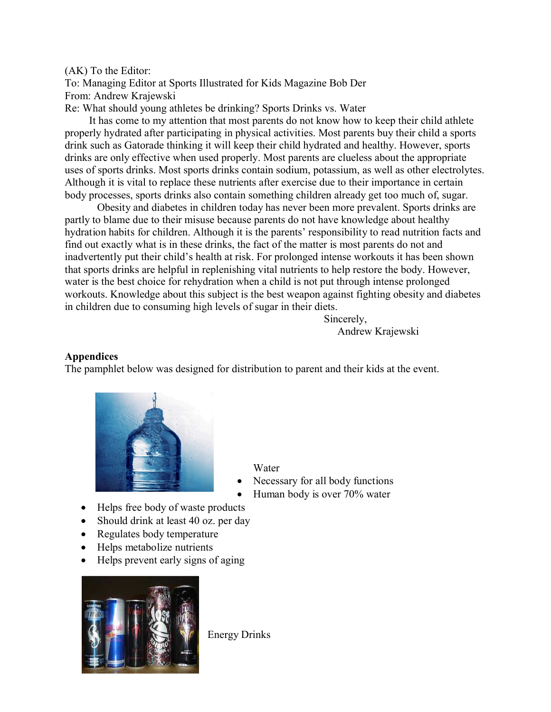#### (AK) To the Editor:

To: Managing Editor at Sports Illustrated for Kids Magazine Bob Der From: Andrew Krajewski

Re: What should young athletes be drinking? Sports Drinks vs. Water

 It has come to my attention that most parents do not know how to keep their child athlete properly hydrated after participating in physical activities. Most parents buy their child a sports drink such as Gatorade thinking it will keep their child hydrated and healthy. However, sports drinks are only effective when used properly. Most parents are clueless about the appropriate uses of sports drinks. Most sports drinks contain sodium, potassium, as well as other electrolytes. Although it is vital to replace these nutrients after exercise due to their importance in certain body processes, sports drinks also contain something children already get too much of, sugar.

Obesity and diabetes in children today has never been more prevalent. Sports drinks are partly to blame due to their misuse because parents do not have knowledge about healthy hydration habits for children. Although it is the parents' responsibility to read nutrition facts and find out exactly what is in these drinks, the fact of the matter is most parents do not and inadvertently put their child's health at risk. For prolonged intense workouts it has been shown that sports drinks are helpful in replenishing vital nutrients to help restore the body. However, water is the best choice for rehydration when a child is not put through intense prolonged workouts. Knowledge about this subject is the best weapon against fighting obesity and diabetes in children due to consuming high levels of sugar in their diets.

Sincerely, Andrew Krajewski

#### **Appendices**

The pamphlet below was designed for distribution to parent and their kids at the event.



Water

- Necessary for all body functions
- Human body is over 70% water
- Helps free body of waste products
- Should drink at least 40 oz. per day
- Regulates body temperature
- Helps metabolize nutrients
- Helps prevent early signs of aging



Energy Drinks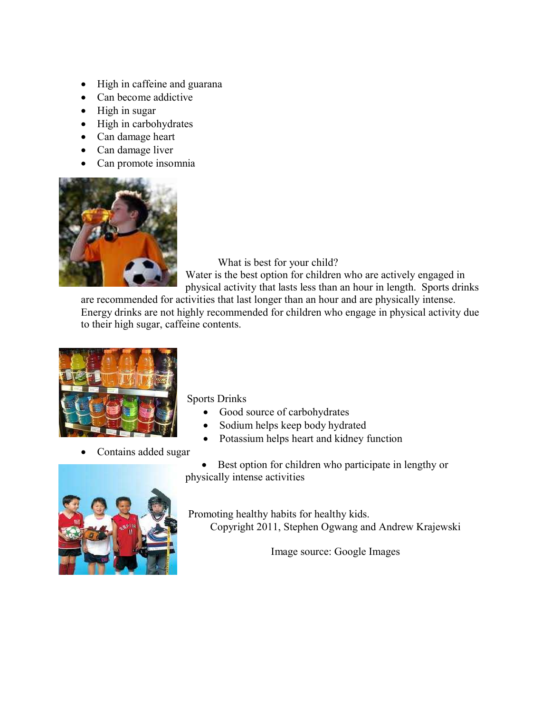- High in caffeine and guarana
- Can become addictive
- High in sugar
- High in carbohydrates
- Can damage heart
- Can damage liver
- Can promote insomnia



What is best for your child?

Water is the best option for children who are actively engaged in physical activity that lasts less than an hour in length. Sports drinks

are recommended for activities that last longer than an hour and are physically intense. Energy drinks are not highly recommended for children who engage in physical activity due to their high sugar, caffeine contents.



Sports Drinks

- Good source of carbohydrates
- Sodium helps keep body hydrated
- Potassium helps heart and kidney function
- Contains added sugar

• Best option for children who participate in lengthy or physically intense activities



Promoting healthy habits for healthy kids.

Copyright 2011, Stephen Ogwang and Andrew Krajewski

Image source: Google Images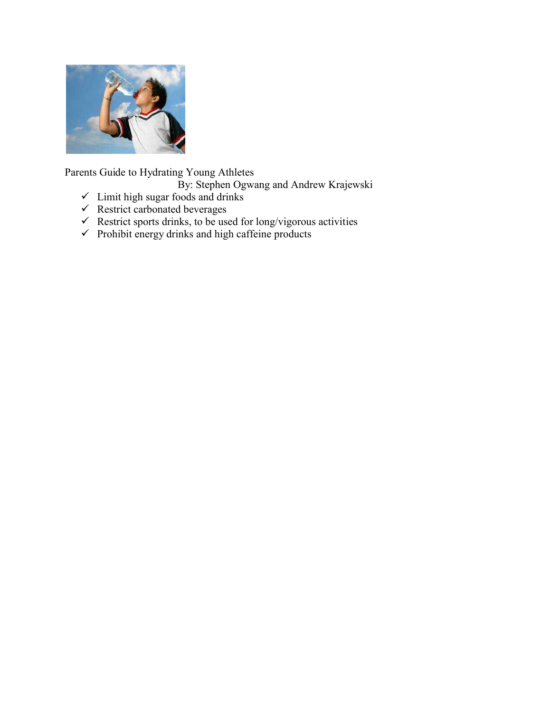

Parents Guide to Hydrating Young Athletes

By: Stephen Ogwang and Andrew Krajewski

- $\checkmark$  Limit high sugar foods and drinks
- $\checkmark$  Restrict carbonated beverages
- $\checkmark$  Restrict sports drinks, to be used for long/vigorous activities
- $\checkmark$  Prohibit energy drinks and high caffeine products